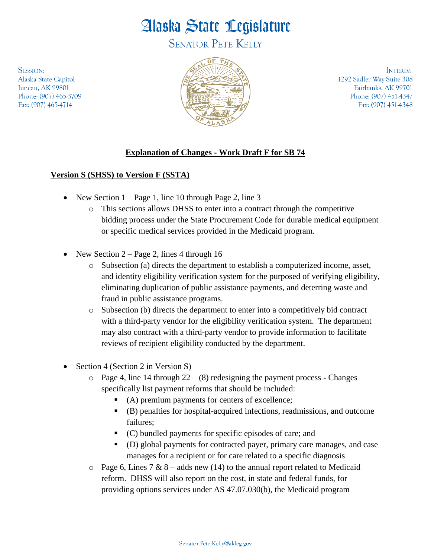## Alaska State Legislature

**SENATOR PETE KELLY** 

**SESSION:** Alaska State Capitol Juneau, AK 99801 Phone: (907) 465-3709 Fax: (907) 465-4714



INTERIM: 1292 Sadler Way Suite 308 Fairbanks, AK 99701 Phone: (907) 451-4347 Fax: (907) 451-4348

## **Explanation of Changes - Work Draft F for SB 74**

## **Version S (SHSS) to Version F (SSTA)**

- New Section  $1 Page\ 1$ , line 10 through Page 2, line 3
	- o This sections allows DHSS to enter into a contract through the competitive bidding process under the State Procurement Code for durable medical equipment or specific medical services provided in the Medicaid program.
- New Section 2 Page 2, lines 4 through 16
	- o Subsection (a) directs the department to establish a computerized income, asset, and identity eligibility verification system for the purposed of verifying eligibility, eliminating duplication of public assistance payments, and deterring waste and fraud in public assistance programs.
	- o Subsection (b) directs the department to enter into a competitively bid contract with a third-party vendor for the eligibility verification system. The department may also contract with a third-party vendor to provide information to facilitate reviews of recipient eligibility conducted by the department.
- Section 4 (Section 2 in Version S)
	- $\circ$  Page 4, line 14 through 22 (8) redesigning the payment process Changes specifically list payment reforms that should be included:
		- (A) premium payments for centers of excellence;
		- (B) penalties for hospital-acquired infections, readmissions, and outcome failures;
		- (C) bundled payments for specific episodes of care; and
		- (D) global payments for contracted payer, primary care manages, and case manages for a recipient or for care related to a specific diagnosis
	- $\circ$  Page 6, Lines 7 & 8 adds new (14) to the annual report related to Medicaid reform. DHSS will also report on the cost, in state and federal funds, for providing options services under AS 47.07.030(b), the Medicaid program